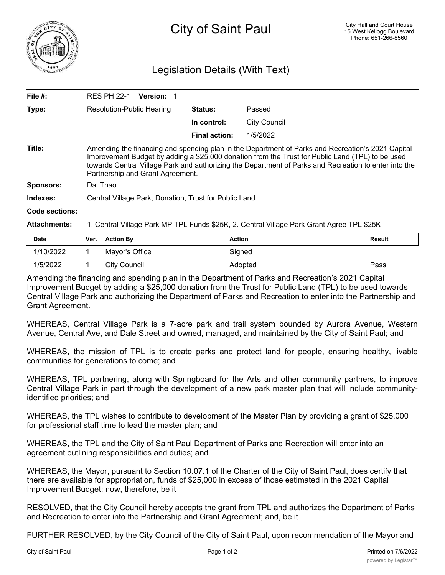

## Legislation Details (With Text)

| File $#$ :            | <b>RES PH 22-1</b><br><b>Version: 1</b>                                                                                                                                                                                                                                                                                                            |                      |                     |  |  |
|-----------------------|----------------------------------------------------------------------------------------------------------------------------------------------------------------------------------------------------------------------------------------------------------------------------------------------------------------------------------------------------|----------------------|---------------------|--|--|
| Type:                 | Resolution-Public Hearing                                                                                                                                                                                                                                                                                                                          | <b>Status:</b>       | Passed              |  |  |
|                       |                                                                                                                                                                                                                                                                                                                                                    | In control:          | <b>City Council</b> |  |  |
|                       |                                                                                                                                                                                                                                                                                                                                                    | <b>Final action:</b> | 1/5/2022            |  |  |
| Title:                | Amending the financing and spending plan in the Department of Parks and Recreation's 2021 Capital<br>Improvement Budget by adding a \$25,000 donation from the Trust for Public Land (TPL) to be used<br>towards Central Village Park and authorizing the Department of Parks and Recreation to enter into the<br>Partnership and Grant Agreement. |                      |                     |  |  |
| <b>Sponsors:</b>      | Dai Thao                                                                                                                                                                                                                                                                                                                                           |                      |                     |  |  |
| Indexes:              | Central Village Park, Donation, Trust for Public Land                                                                                                                                                                                                                                                                                              |                      |                     |  |  |
| <b>Code sections:</b> |                                                                                                                                                                                                                                                                                                                                                    |                      |                     |  |  |
| <b>Attachments:</b>   | 1. Central Village Park MP TPL Funds \$25K, 2. Central Village Park Grant Agree TPL \$25K                                                                                                                                                                                                                                                          |                      |                     |  |  |

| <b>Date</b> | Ver. Action By | Action  | Result |
|-------------|----------------|---------|--------|
| 1/10/2022   | Mayor's Office | Signed  |        |
| 1/5/2022    | City Council   | Adopted | Pass   |

Amending the financing and spending plan in the Department of Parks and Recreation's 2021 Capital Improvement Budget by adding a \$25,000 donation from the Trust for Public Land (TPL) to be used towards Central Village Park and authorizing the Department of Parks and Recreation to enter into the Partnership and Grant Agreement.

WHEREAS, Central Village Park is a 7-acre park and trail system bounded by Aurora Avenue, Western Avenue, Central Ave, and Dale Street and owned, managed, and maintained by the City of Saint Paul; and

WHEREAS, the mission of TPL is to create parks and protect land for people, ensuring healthy, livable communities for generations to come; and

WHEREAS, TPL partnering, along with Springboard for the Arts and other community partners, to improve Central Village Park in part through the development of a new park master plan that will include communityidentified priorities; and

WHEREAS, the TPL wishes to contribute to development of the Master Plan by providing a grant of \$25,000 for professional staff time to lead the master plan; and

WHEREAS, the TPL and the City of Saint Paul Department of Parks and Recreation will enter into an agreement outlining responsibilities and duties; and

WHEREAS, the Mayor, pursuant to Section 10.07.1 of the Charter of the City of Saint Paul, does certify that there are available for appropriation, funds of \$25,000 in excess of those estimated in the 2021 Capital Improvement Budget; now, therefore, be it

RESOLVED, that the City Council hereby accepts the grant from TPL and authorizes the Department of Parks and Recreation to enter into the Partnership and Grant Agreement; and, be it

FURTHER RESOLVED, by the City Council of the City of Saint Paul, upon recommendation of the Mayor and